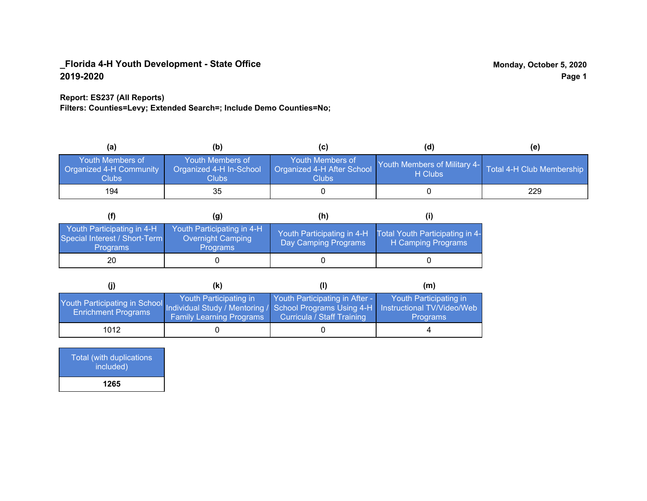## **Report: ES237 (All Reports)**

**Filters: Counties=Levy; Extended Search=; Include Demo Counties=No;**

| (a)                                                                | (b)                                                   | (C)                                                       | (d)                                                               | (e) |
|--------------------------------------------------------------------|-------------------------------------------------------|-----------------------------------------------------------|-------------------------------------------------------------------|-----|
| <b>Youth Members of</b><br><b>Organized 4-H Community</b><br>Clubs | Youth Members of<br>Organized 4-H In-School<br>Clubs: | Youth Members of<br>Organized 4-H After School<br>Clubs : | Youth Members of Military 4- Total 4-H Club Membership<br>H Clubs |     |
| 194                                                                | 35                                                    |                                                           |                                                                   | 229 |

|                                                                                | (g)                                                                       | (h)                                                 |                                                       |
|--------------------------------------------------------------------------------|---------------------------------------------------------------------------|-----------------------------------------------------|-------------------------------------------------------|
| Youth Participating in 4-H<br>Special Interest / Short-Term<br><b>Programs</b> | Youth Participating in 4-H<br><b>Overnight Camping</b><br><b>Programs</b> | Youth Participating in 4-H,<br>Day Camping Programs | Total Youth Participating in 4-<br>H Camping Programs |
| 20                                                                             |                                                                           |                                                     |                                                       |

|                                                                                                                      | (k)                                                       |                                                              | (m)                                                                     |
|----------------------------------------------------------------------------------------------------------------------|-----------------------------------------------------------|--------------------------------------------------------------|-------------------------------------------------------------------------|
| Youth Participating in School Individual Study / Mentoring / School Programs Using 4-H<br><b>Enrichment Programs</b> | Youth Participating in<br><b>Family Learning Programs</b> | Youth Participating in After -<br>Curricula / Staff Training | Youth Participating in<br>Instructional TV/Video/Web<br><b>Programs</b> |
| 1012                                                                                                                 |                                                           |                                                              |                                                                         |

Total (with duplications included) **1265**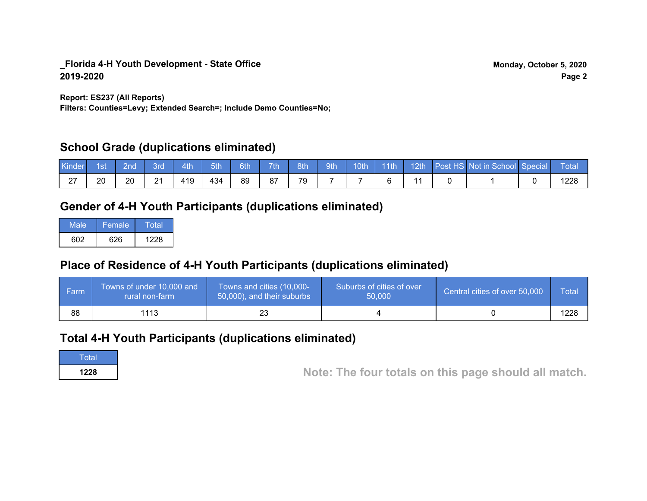**Report: ES237 (All Reports)**

**Filters: Counties=Levy; Extended Search=; Include Demo Counties=No;**

# **School Grade (duplications eliminated)**

| Kinder | 1st | 2nd | 3rd       | 4th | 5th | 6th | 7 <sup>th</sup> | 8th | 9th | 10th | $\vert$ 11th |  | 12th Post HS Not in School Special | Total |
|--------|-----|-----|-----------|-----|-----|-----|-----------------|-----|-----|------|--------------|--|------------------------------------|-------|
| $\sim$ | 20  | 20  | 21<br>∠ ا | 419 | 434 | 89  | 87              | 79  |     |      |              |  |                                    | 1228  |

# **Gender of 4-H Youth Participants (duplications eliminated)**

| Male | Female | Total |
|------|--------|-------|
| 602. | 626    | 1228  |

# **Place of Residence of 4-H Youth Participants (duplications eliminated)**

| <b>Farm</b> | Towns of under 10,000 and<br>rural non-farm | Towns and cities (10,000-<br>50,000), and their suburbs | Suburbs of cities of over<br>50,000 | Central cities of over 50,000 | Total |
|-------------|---------------------------------------------|---------------------------------------------------------|-------------------------------------|-------------------------------|-------|
| 88          | 1113                                        |                                                         |                                     |                               | 1228  |

## **Total 4-H Youth Participants (duplications eliminated)**

**Total** 

**<sup>1228</sup> Note: The four totals on this page should all match.**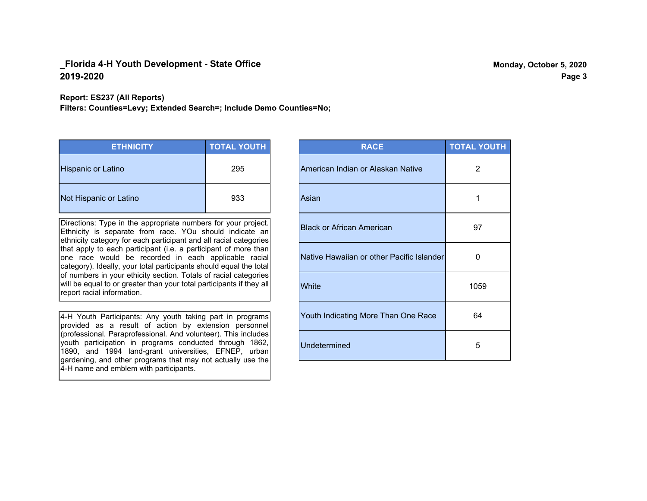**Report: ES237 (All Reports)**

**Filters: Counties=Levy; Extended Search=; Include Demo Counties=No;**

| <b>ETHNICITY</b>          | <b>TOTAL YOUTH</b> |
|---------------------------|--------------------|
| <b>Hispanic or Latino</b> | 295                |
| Not Hispanic or Latino    | 933                |

Directions: Type in the appropriate numbers for your project. Ethnicity is separate from race. YOu should indicate an ethnicity category for each participant and all racial categories that apply to each participant (i.e. a participant of more than one race would be recorded in each applicable racial category). Ideally, your total participants should equal the total of numbers in your ethicity section. Totals of racial categories will be equal to or greater than your total participants if they all report racial information.

4-H Youth Participants: Any youth taking part in programs provided as a result of action by extension personnel (professional. Paraprofessional. And volunteer). This includes youth participation in programs conducted through 1862, 1890, and 1994 land-grant universities, EFNEP, urban gardening, and other programs that may not actually use the 4-H name and emblem with participants.

| <b>RACE</b>                               | <b>TOTAL YOUTH</b> |
|-------------------------------------------|--------------------|
| American Indian or Alaskan Native         | 2                  |
| Asian                                     | 1                  |
| <b>Black or African American</b>          | 97                 |
| Native Hawaiian or other Pacific Islander | 0                  |
| White                                     | 1059               |
| Youth Indicating More Than One Race       | 64                 |
| <b>Undetermined</b>                       | 5                  |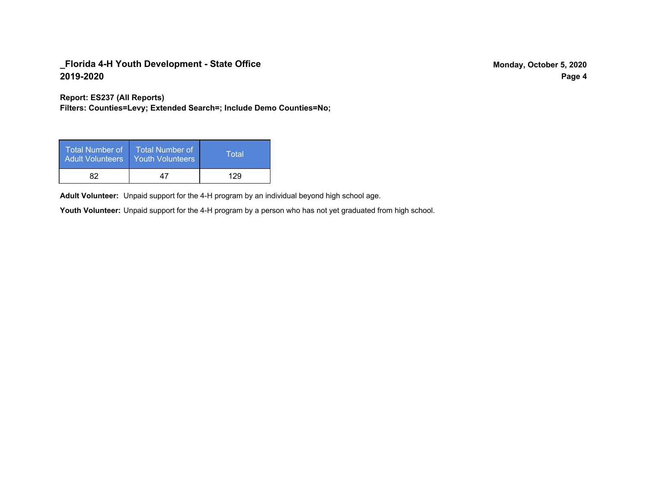**Report: ES237 (All Reports)**

**Filters: Counties=Levy; Extended Search=; Include Demo Counties=No;**

| Total Number of<br>Adult Volunteers | <b>Total Number of</b><br><b>Youth Volunteers</b> | Total |
|-------------------------------------|---------------------------------------------------|-------|
| 82                                  | 47                                                | 129   |

Adult Volunteer: Unpaid support for the 4-H program by an individual beyond high school age.

Youth Volunteer: Unpaid support for the 4-H program by a person who has not yet graduated from high school.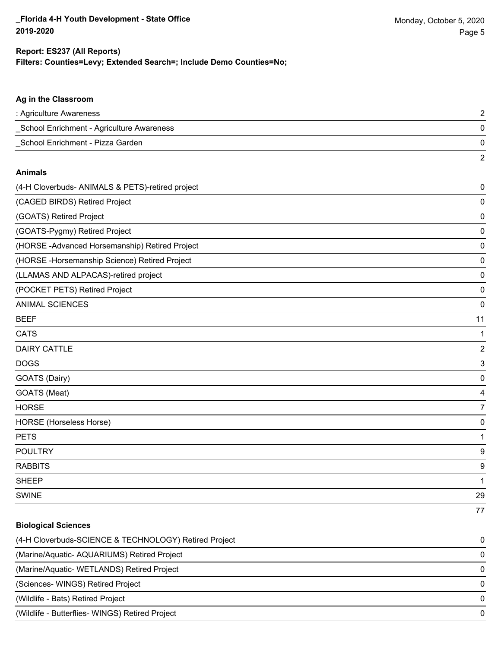2

### **Ag in the Classroom**

| : Agriculture Awareness                   |  |
|-------------------------------------------|--|
| School Enrichment - Agriculture Awareness |  |
| School Enrichment - Pizza Garden          |  |

#### **Animals**

| (4-H Cloverbuds- ANIMALS & PETS)-retired project | $\pmb{0}$               |
|--------------------------------------------------|-------------------------|
| (CAGED BIRDS) Retired Project                    | 0                       |
| (GOATS) Retired Project                          | 0                       |
| (GOATS-Pygmy) Retired Project                    | $\pmb{0}$               |
| (HORSE -Advanced Horsemanship) Retired Project   | 0                       |
| (HORSE - Horsemanship Science) Retired Project   | 0                       |
| (LLAMAS AND ALPACAS)-retired project             | 0                       |
| (POCKET PETS) Retired Project                    | 0                       |
| <b>ANIMAL SCIENCES</b>                           | 0                       |
| <b>BEEF</b>                                      | 11                      |
| <b>CATS</b>                                      |                         |
| <b>DAIRY CATTLE</b>                              | $\overline{\mathbf{c}}$ |
| <b>DOGS</b>                                      | 3                       |
| GOATS (Dairy)                                    | 0                       |
| GOATS (Meat)                                     | 4                       |
| <b>HORSE</b>                                     | 7                       |
| HORSE (Horseless Horse)                          | 0                       |
| <b>PETS</b>                                      | 1                       |
| <b>POULTRY</b>                                   | 9                       |
| <b>RABBITS</b>                                   | 9                       |
| <b>SHEEP</b>                                     | 1                       |
| <b>SWINE</b>                                     | 29                      |
|                                                  | 77                      |

## **Biological Sciences**

| (4-H Cloverbuds-SCIENCE & TECHNOLOGY) Retired Project | $\Omega$     |
|-------------------------------------------------------|--------------|
| (Marine/Aquatic-AQUARIUMS) Retired Project            |              |
| (Marine/Aquatic-WETLANDS) Retired Project             |              |
| (Sciences-WINGS) Retired Project                      | 0            |
| (Wildlife - Bats) Retired Project                     | <sup>0</sup> |
| (Wildlife - Butterflies- WINGS) Retired Project       |              |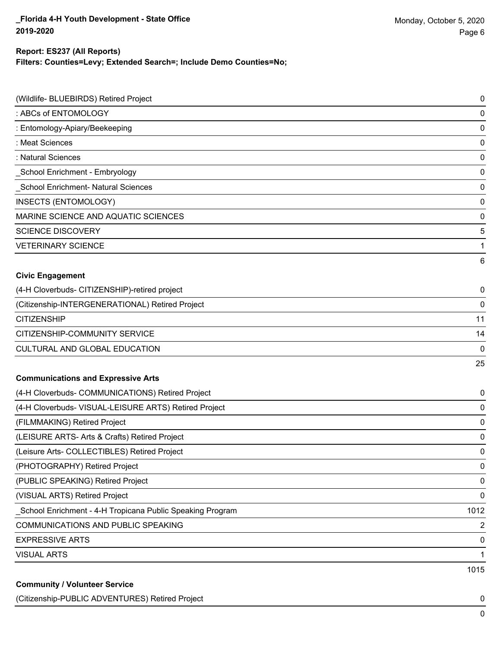## **Filters: Counties=Levy; Extended Search=; Include Demo Counties=No; Report: ES237 (All Reports)**

| (Wildlife- BLUEBIRDS) Retired Project                     | 0    |
|-----------------------------------------------------------|------|
| : ABCs of ENTOMOLOGY                                      | 0    |
| : Entomology-Apiary/Beekeeping                            | 0    |
| : Meat Sciences                                           | 0    |
| : Natural Sciences                                        | 0    |
| _School Enrichment - Embryology                           | 0    |
| <b>School Enrichment- Natural Sciences</b>                | 0    |
| <b>INSECTS (ENTOMOLOGY)</b>                               | 0    |
| MARINE SCIENCE AND AQUATIC SCIENCES                       | 0    |
| <b>SCIENCE DISCOVERY</b>                                  | 5    |
| <b>VETERINARY SCIENCE</b>                                 | 1    |
|                                                           | 6    |
| <b>Civic Engagement</b>                                   |      |
| (4-H Cloverbuds- CITIZENSHIP)-retired project             | 0    |
| (Citizenship-INTERGENERATIONAL) Retired Project           | 0    |
| <b>CITIZENSHIP</b>                                        | 11   |
| CITIZENSHIP-COMMUNITY SERVICE                             | 14   |
| CULTURAL AND GLOBAL EDUCATION                             | 0    |
|                                                           | 25   |
| <b>Communications and Expressive Arts</b>                 |      |
| (4-H Cloverbuds- COMMUNICATIONS) Retired Project          | 0    |
| (4-H Cloverbuds- VISUAL-LEISURE ARTS) Retired Project     | 0    |
| (FILMMAKING) Retired Project                              | 0    |
| (LEISURE ARTS- Arts & Crafts) Retired Project             | 0    |
| (Leisure Arts- COLLECTIBLES) Retired Project              | 0    |
| (PHOTOGRAPHY) Retired Project                             | 0    |
| (PUBLIC SPEAKING) Retired Project                         | 0    |
| (VISUAL ARTS) Retired Project                             | 0    |
| School Enrichment - 4-H Tropicana Public Speaking Program | 1012 |
| COMMUNICATIONS AND PUBLIC SPEAKING                        | 2    |
| <b>EXPRESSIVE ARTS</b>                                    | 0    |
| <b>VISUAL ARTS</b>                                        | 1    |
|                                                           | 1015 |
| <b>Community / Volunteer Service</b>                      |      |

## (Citizenship-PUBLIC ADVENTURES) Retired Project 0

0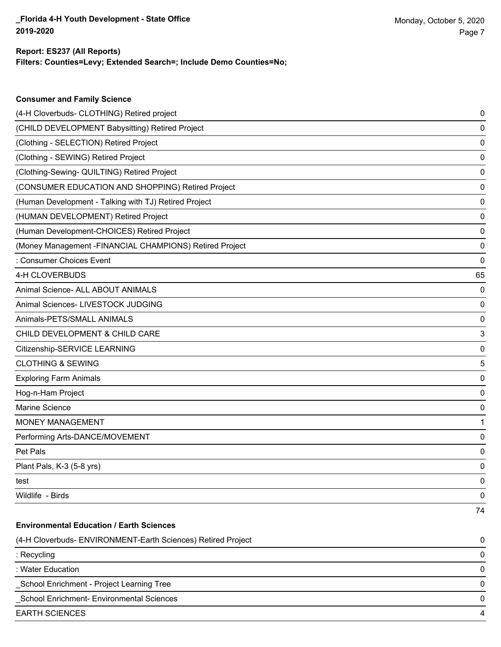**Consumer and Family Science**

## **Filters: Counties=Levy; Extended Search=; Include Demo Counties=No; Report: ES237 (All Reports)**

| (4-H Cloverbuds- CLOTHING) Retired project                   | 0  |
|--------------------------------------------------------------|----|
| (CHILD DEVELOPMENT Babysitting) Retired Project              | 0  |
| (Clothing - SELECTION) Retired Project                       | 0  |
| (Clothing - SEWING) Retired Project                          | 0  |
| (Clothing-Sewing- QUILTING) Retired Project                  | 0  |
| (CONSUMER EDUCATION AND SHOPPING) Retired Project            | 0  |
| (Human Development - Talking with TJ) Retired Project        | 0  |
| (HUMAN DEVELOPMENT) Retired Project                          | 0  |
| (Human Development-CHOICES) Retired Project                  | 0  |
| (Money Management -FINANCIAL CHAMPIONS) Retired Project      | 0  |
| : Consumer Choices Event                                     | 0  |
| 4-H CLOVERBUDS                                               | 65 |
| Animal Science- ALL ABOUT ANIMALS                            | 0  |
| Animal Sciences- LIVESTOCK JUDGING                           | 0  |
| Animals-PETS/SMALL ANIMALS                                   | 0  |
| CHILD DEVELOPMENT & CHILD CARE                               | 3  |
| Citizenship-SERVICE LEARNING                                 | 0  |
| <b>CLOTHING &amp; SEWING</b>                                 | 5  |
| <b>Exploring Farm Animals</b>                                | 0  |
| Hog-n-Ham Project                                            | 0  |
| Marine Science                                               | 0  |
| <b>MONEY MANAGEMENT</b>                                      | 1  |
| Performing Arts-DANCE/MOVEMENT                               | 0  |
| Pet Pals                                                     | 0  |
| Plant Pals, K-3 (5-8 yrs)                                    | 0  |
| test                                                         | 0  |
| Wildlife - Birds                                             | 0  |
|                                                              | 74 |
| <b>Environmental Education / Earth Sciences</b>              |    |
| (4-H Cloverbuds- ENVIRONMENT-Earth Sciences) Retired Project | 0  |
| : Recycling                                                  | 0  |
| : Water Education                                            | 0  |
| School Enrichment - Project Learning Tree                    | 0  |
| School Enrichment- Environmental Sciences                    | 0  |
| <b>EARTH SCIENCES</b>                                        | 4  |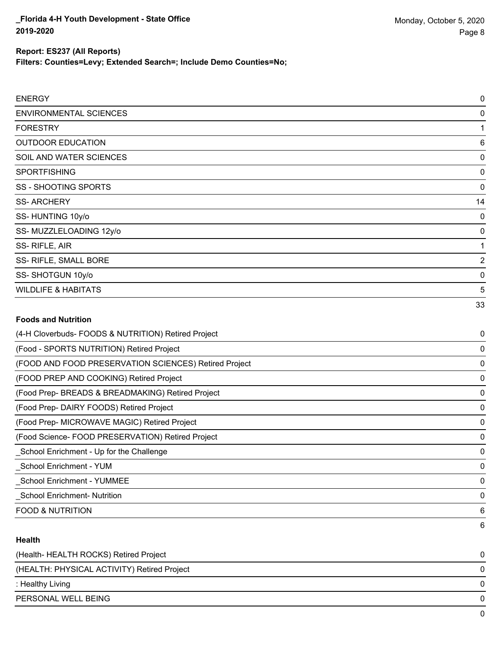**Filters: Counties=Levy; Extended Search=; Include Demo Counties=No;**

| <b>ENERGY</b>                                         | 0              |
|-------------------------------------------------------|----------------|
| <b>ENVIRONMENTAL SCIENCES</b>                         | 0              |
| <b>FORESTRY</b>                                       | 1              |
| <b>OUTDOOR EDUCATION</b>                              | 6              |
| SOIL AND WATER SCIENCES                               | $\mathbf 0$    |
| <b>SPORTFISHING</b>                                   | 0              |
| <b>SS - SHOOTING SPORTS</b>                           | 0              |
| <b>SS-ARCHERY</b>                                     | 14             |
| SS-HUNTING 10y/o                                      | $\mathbf 0$    |
| SS-MUZZLELOADING 12y/o                                | 0              |
| SS-RIFLE, AIR                                         | 1              |
| SS- RIFLE, SMALL BORE                                 | $\overline{2}$ |
| SS-SHOTGUN 10y/o                                      | $\mathbf 0$    |
| <b>WILDLIFE &amp; HABITATS</b>                        | 5              |
|                                                       | 33             |
| <b>Foods and Nutrition</b>                            |                |
| (4-H Cloverbuds- FOODS & NUTRITION) Retired Project   | 0              |
| (Food - SPORTS NUTRITION) Retired Project             | 0              |
| (FOOD AND FOOD PRESERVATION SCIENCES) Retired Project | $\mathbf 0$    |
| (FOOD PREP AND COOKING) Retired Project               | $\mathbf 0$    |
| (Food Prep- BREADS & BREADMAKING) Retired Project     | $\mathbf 0$    |
| (Food Prep- DAIRY FOODS) Retired Project              | $\mathbf 0$    |
| (Food Prep- MICROWAVE MAGIC) Retired Project          | $\mathbf 0$    |
| (Food Science- FOOD PRESERVATION) Retired Project     | $\mathbf 0$    |
| School Enrichment - Up for the Challenge              | $\mathbf 0$    |
| <b>School Enrichment - YUM</b>                        | 0              |
| <b>School Enrichment - YUMMEE</b>                     | 0              |
| <b>School Enrichment- Nutrition</b>                   | $\mathbf 0$    |
| <b>FOOD &amp; NUTRITION</b>                           | 6              |

## **Health**

| (Health-HEALTH ROCKS) Retired Project       | 0 |
|---------------------------------------------|---|
| (HEALTH: PHYSICAL ACTIVITY) Retired Project | 0 |
| : Healthy Living                            | 0 |
| PERSONAL WELL BEING                         | 0 |
|                                             | 0 |

6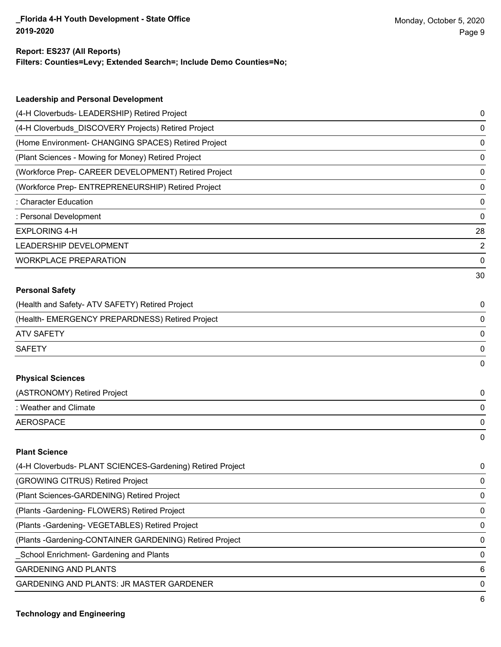6

## **Report: ES237 (All Reports)**

**Filters: Counties=Levy; Extended Search=; Include Demo Counties=No;**

| <b>Leadership and Personal Development</b>                 |                |
|------------------------------------------------------------|----------------|
| (4-H Cloverbuds- LEADERSHIP) Retired Project               | 0              |
| (4-H Cloverbuds_DISCOVERY Projects) Retired Project        | 0              |
| (Home Environment- CHANGING SPACES) Retired Project        | 0              |
| (Plant Sciences - Mowing for Money) Retired Project        | 0              |
| (Workforce Prep- CAREER DEVELOPMENT) Retired Project       | 0              |
| (Workforce Prep- ENTREPRENEURSHIP) Retired Project         | 0              |
| : Character Education                                      | 0              |
| : Personal Development                                     | 0              |
| <b>EXPLORING 4-H</b>                                       | 28             |
| LEADERSHIP DEVELOPMENT                                     | $\overline{c}$ |
| <b>WORKPLACE PREPARATION</b>                               | 0              |
|                                                            | 30             |
| <b>Personal Safety</b>                                     |                |
| (Health and Safety- ATV SAFETY) Retired Project            | 0              |
| (Health- EMERGENCY PREPARDNESS) Retired Project            | 0              |
| <b>ATV SAFETY</b>                                          | 0              |
| <b>SAFETY</b>                                              | 0              |
|                                                            | 0              |
| <b>Physical Sciences</b>                                   |                |
| (ASTRONOMY) Retired Project                                | 0              |
| : Weather and Climate                                      | 0              |
| <b>AEROSPACE</b>                                           | 0              |
|                                                            | $\mathbf{0}$   |
| <b>Plant Science</b>                                       |                |
| (4-H Cloverbuds- PLANT SCIENCES-Gardening) Retired Project | 0              |
| (GROWING CITRUS) Retired Project                           | 0              |
| (Plant Sciences-GARDENING) Retired Project                 | 0              |
| (Plants - Gardening - FLOWERS) Retired Project             | 0              |
| (Plants - Gardening - VEGETABLES) Retired Project          | 0              |
| (Plants - Gardening-CONTAINER GARDENING) Retired Project   | 0              |
| School Enrichment- Gardening and Plants                    | 0              |
| <b>GARDENING AND PLANTS</b>                                | 6              |
| GARDENING AND PLANTS: JR MASTER GARDENER                   | 0              |